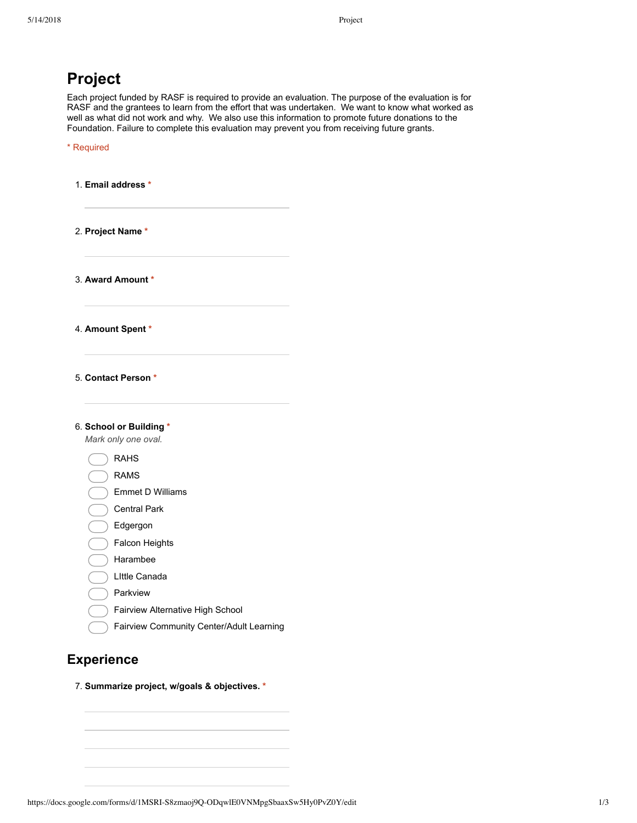| <b>Project</b>                                                                                                                                                                                                                                                                                                                                                                                                      |  |
|---------------------------------------------------------------------------------------------------------------------------------------------------------------------------------------------------------------------------------------------------------------------------------------------------------------------------------------------------------------------------------------------------------------------|--|
| Each project funded by RASF is required to provide an evaluation. The purpose of the evaluation is for<br>RASF and the grantees to learn from the effort that was undertaken. We want to know what worked as<br>well as what did not work and why. We also use this information to promote future donations to the<br>Foundation. Failure to complete this evaluation may prevent you from receiving future grants. |  |
| * Required                                                                                                                                                                                                                                                                                                                                                                                                          |  |
| 1. Email address *                                                                                                                                                                                                                                                                                                                                                                                                  |  |
|                                                                                                                                                                                                                                                                                                                                                                                                                     |  |
| 2. Project Name *                                                                                                                                                                                                                                                                                                                                                                                                   |  |
| 3. Award Amount *                                                                                                                                                                                                                                                                                                                                                                                                   |  |
| 4. Amount Spent *                                                                                                                                                                                                                                                                                                                                                                                                   |  |
| 5. Contact Person *                                                                                                                                                                                                                                                                                                                                                                                                 |  |
| 6. School or Building *                                                                                                                                                                                                                                                                                                                                                                                             |  |
| Mark only one oval.                                                                                                                                                                                                                                                                                                                                                                                                 |  |
| <b>RAHS</b>                                                                                                                                                                                                                                                                                                                                                                                                         |  |
| <b>RAMS</b>                                                                                                                                                                                                                                                                                                                                                                                                         |  |
| <b>Emmet D Williams</b>                                                                                                                                                                                                                                                                                                                                                                                             |  |
| <b>Central Park</b><br>Edgergon                                                                                                                                                                                                                                                                                                                                                                                     |  |
| Falcon Heights                                                                                                                                                                                                                                                                                                                                                                                                      |  |
| Harambee                                                                                                                                                                                                                                                                                                                                                                                                            |  |
| Little Canada                                                                                                                                                                                                                                                                                                                                                                                                       |  |
| Parkview                                                                                                                                                                                                                                                                                                                                                                                                            |  |
| Fairview Alternative High School                                                                                                                                                                                                                                                                                                                                                                                    |  |
| Fairview Community Center/Adult Learning                                                                                                                                                                                                                                                                                                                                                                            |  |
|                                                                                                                                                                                                                                                                                                                                                                                                                     |  |

## **Experience**

7. **Summarize project, w/goals & objectives. \***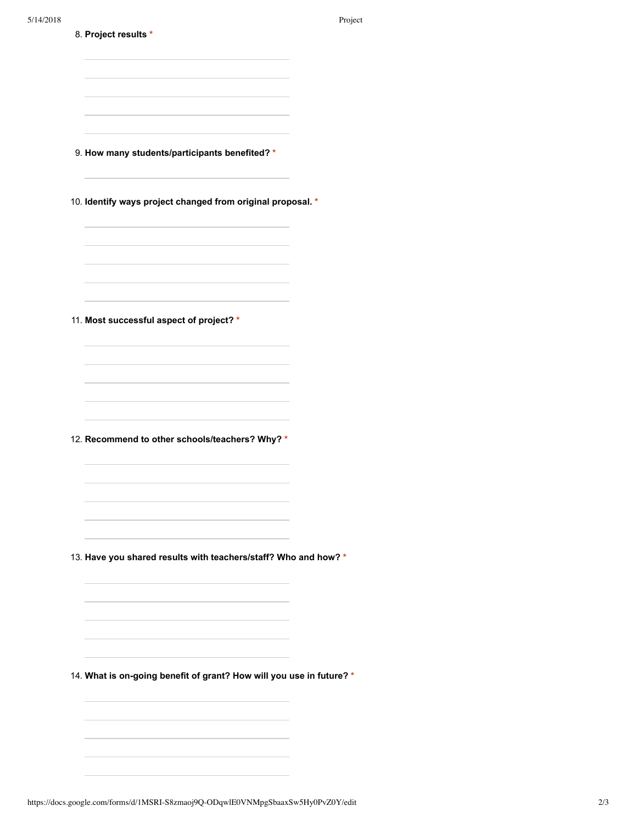| 5/14/2018 | 8. Project results *                                                 | Project |
|-----------|----------------------------------------------------------------------|---------|
|           |                                                                      |         |
|           |                                                                      |         |
|           | 9. How many students/participants benefited? *                       |         |
|           | 10. Identify ways project changed from original proposal. *          |         |
|           |                                                                      |         |
|           |                                                                      |         |
|           | 11. Most successful aspect of project? *                             |         |
|           |                                                                      |         |
|           |                                                                      |         |
|           | 12. Recommend to other schools/teachers? Why? *                      |         |
|           |                                                                      |         |
|           | 13. Have you shared results with teachers/staff? Who and how? *      |         |
|           |                                                                      |         |
|           |                                                                      |         |
|           | 14. What is on-going benefit of grant? How will you use in future? * |         |
|           |                                                                      |         |
|           |                                                                      |         |